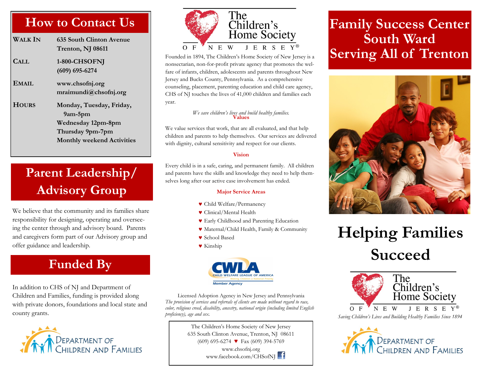### **How to Contact Us**

| Walk In      | 635 South Clinton Avenue<br>Trenton, NJ 08611                                                                             |
|--------------|---------------------------------------------------------------------------------------------------------------------------|
| CALL         | 1-800-CHSOFNJ<br>$(609)$ 695-6274                                                                                         |
| EMAIL        | www.chsofnj.org<br>mraimundi@chsofnj.org                                                                                  |
| <b>HOURS</b> | Monday, Tuesday, Friday,<br>$9$ am- $5$ pm<br>Wednesday 12pm-8pm<br>Thursday 9pm-7pm<br><b>Monthly weekend Activities</b> |

### **Parent Leadership/ Advisory Group**

We believe that the community and its families share responsibility for designing, operating and overseeing the center through and advisory board. Parents and caregivers form part of our Advisory group and offer guidance and leadership.

### **Funded By**

In addition to CHS of NJ and Department of Children and Families, funding is provided along with private donors, foundations and local state and county grants.





Founded in 1894, The Children's Home Society of New Jersey is a nonsectarian, non-for-profit private agency that promotes the welfare of infants, children, adolescents and parents throughout New Jersey and Bucks County, Pennsylvania. As a comprehensive counseling, placement, parenting education and child care agency, CHS of NJ touches the lives of 41,000 children and families each year.

### *We save children's lives and build healthy families.* **Values**

We value services that work, that are all evaluated, and that help children and parents to help themselves. Our services are delivered with dignity, cultural sensitivity and respect for our clients.

#### **Vision**

Every child is in a safe, caring, and permanent family. All children and parents have the skills and knowledge they need to help themselves long after our active case involvement has ended.

#### **Major Service Areas**

- Child Welfare/Permanency
- Clinical/Mental Health
- Early Childhood and Parenting Education
- Maternal/Child Health, Family & Community
- School Based
- Kinship



Licensed Adoption Agency in New Jersey and Pennsylvania *The provision of services and referrals of clients are made without regard to race, color, religious creed, disability, ancestry, national origin (including limited English proficiency), age and sex.*

> The Children's Home Society of New Jersey 635 South Clinton Avenue, Trenton, NJ 08611 (609) 695-6274 ♥ Fax (609) 394-5769 www.chsofnj.org www.facebook.com/CHSofNJ

### **Family Success Center South Ward Serving All of Trenton**



# **Helping Families Succeed**



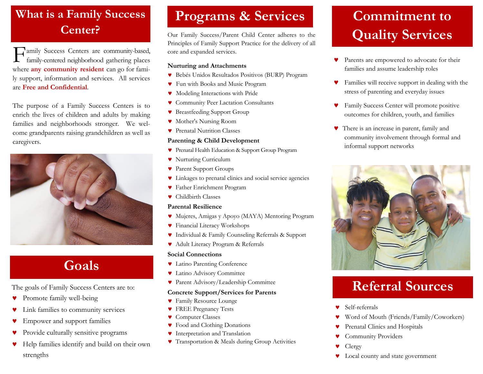### **What is a Family Success Center?**

F amily Success Centers are community-based, family-centered neighborhood gathering places where **any community resident** can go for family support, information and services. All services are **Free and Confidential**.

The purpose of a Family Success Centers is to enrich the lives of children and adults by making families and neighborhoods stronger. We welcome grandparents raising grandchildren as well as caregivers.



### **Goals**

The goals of Family Success Centers are to:

- **Promote family well-being**
- Link families to community services
- Empower and support families
- Provide culturally sensitive programs
- Help families identify and build on their own strengths

### **Programs & Services**

Our Family Success/Parent Child Center adheres to the Principles of Family Support Practice for the delivery of all core and expanded services.

#### **Nurturing and Attachments**

- Bebés Unidos Resultados Positivos (BURP) Program
- Fun with Books and Music Program
- Modeling Interactions with Pride
- Community Peer Lactation Consultants
- Breastfeeding Support Group
- Mother's Nursing Room
- **Prenatal Nutrition Classes**

### **Parenting & Child Development**

- Prenatal Health Education & Support Group Program
- **V** Nurturing Curriculum
- Parent Support Groups
- Linkages to prenatal clinics and social service agencies
- Father Enrichment Program
- Childbirth Classes

#### **Parental Resilience**

- Mujeres, Amigas y Apoyo (MAYA) Mentoring Program
- Financial Literacy Workshops
- Individual & Family Counseling Referrals & Support
- Adult Literacy Program & Referrals

#### **Social Connections**

- Latino Parenting Conference
- Latino Advisory Committee
- Parent Advisory/Leadership Committee

#### **Concrete Support/Services for Parents**

- Family Resource Lounge
- **FREE Pregnancy Tests**
- **v** Computer Classes
- Food and Clothing Donations
- **v** Interpretation and Translation
- Transportation & Meals during Group Activities

## **Commitment to Quality Services**

- Parents are empowered to advocate for their families and assume leadership roles
- Families will receive support in dealing with the stress of parenting and everyday issues
- Family Success Center will promote positive outcomes for children, youth, and families
- There is an increase in parent, family and community involvement through formal and informal support networks



### **Referral Sources**

- Self-referrals
- Word of Mouth (Friends/Family/Coworkers)
- Prenatal Clinics and Hospitals
- Community Providers
- Clergy
- $\bullet$  Local county and state government